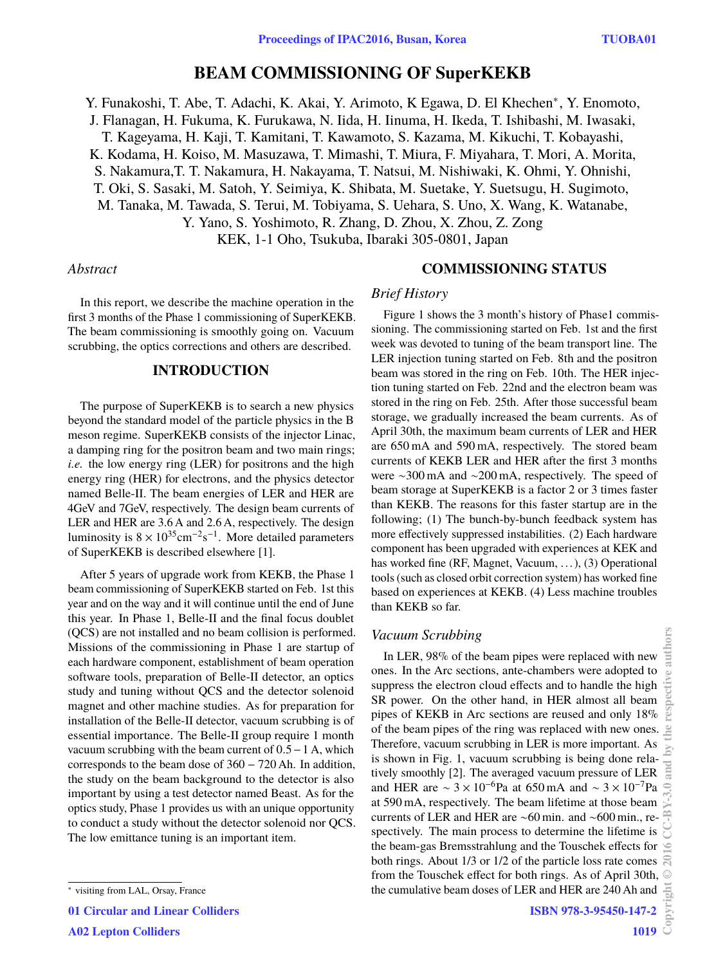## **BEAM COMMISSIONING OF SuperKEKB**

Y. Funakoshi, T. Abe, T. Adachi, K. Akai, Y. Arimoto, K Egawa, D. El Khechen<sup>∗</sup> , Y. Enomoto,

J. Flanagan, H. Fukuma, K. Furukawa, N. Iida, H. Iinuma, H. Ikeda, T. Ishibashi, M. Iwasaki,

T. Kageyama, H. Kaji, T. Kamitani, T. Kawamoto, S. Kazama, M. Kikuchi, T. Kobayashi,

K. Kodama, H. Koiso, M. Masuzawa, T. Mimashi, T. Miura, F. Miyahara, T. Mori, A. Morita,

S. Nakamura,T. T. Nakamura, H. Nakayama, T. Natsui, M. Nishiwaki, K. Ohmi, Y. Ohnishi,

T. Oki, S. Sasaki, M. Satoh, Y. Seimiya, K. Shibata, M. Suetake, Y. Suetsugu, H. Sugimoto,

M. Tanaka, M. Tawada, S. Terui, M. Tobiyama, S. Uehara, S. Uno, X. Wang, K. Watanabe,

Y. Yano, S. Yoshimoto, R. Zhang, D. Zhou, X. Zhou, Z. Zong

KEK, 1-1 Oho, Tsukuba, Ibaraki 305-0801, Japan

### *Abstract*

In this report, we describe the machine operation in the first 3 months of the Phase 1 commissioning of SuperKEKB. The beam commissioning is smoothly going on. Vacuum scrubbing, the optics corrections and others are described.

## **INTRODUCTION**

The purpose of SuperKEKB is to search a new physics beyond the standard model of the particle physics in the B meson regime. SuperKEKB consists of the injector Linac, a damping ring for the positron beam and two main rings; *i.e.* the low energy ring (LER) for positrons and the high energy ring (HER) for electrons, and the physics detector named Belle-II. The beam energies of LER and HER are 4GeV and 7GeV, respectively. The design beam currents of LER and HER are 3.6 A and 2.6 A, respectively. The design luminosity is  $8 \times 10^{35}$ cm<sup>-2</sup>s<sup>-1</sup>. More detailed parameters of SuperKEKB is described elsewhere [1].

After 5 years of upgrade work from KEKB, the Phase 1 beam commissioning of SuperKEKB started on Feb. 1st this year and on the way and it will continue until the end of June this year. In Phase 1, Belle-II and the final focus doublet (QCS) are not installed and no beam collision is performed. Missions of the commissioning in Phase 1 are startup of each hardware component, establishment of beam operation software tools, preparation of Belle-II detector, an optics study and tuning without QCS and the detector solenoid magnet and other machine studies. As for preparation for installation of the Belle-II detector, vacuum scrubbing is of essential importance. The Belle-II group require 1 month vacuum scrubbing with the beam current of <sup>0</sup>.5−<sup>1</sup> A, which corresponds to the beam dose of 360 − 720 Ah. In addition, the study on the beam background to the detector is also important by using a test detector named Beast. As for the optics study, Phase 1 provides us with an unique opportunity to conduct a study without the detector solenoid nor QCS. The low emittance tuning is an important item.

01 Circular and Linear Colliders A02 Lepton Colliders

# **COMMISSIONING STATUS**

#### *Brief History*

Figure 1 shows the 3 month's history of Phase1 commissioning. The commissioning started on Feb. 1st and the first week was devoted to tuning of the beam transport line. The LER injection tuning started on Feb. 8th and the positron beam was stored in the ring on Feb. 10th. The HER injection tuning started on Feb. 22nd and the electron beam was stored in the ring on Feb. 25th. After those successful beam storage, we gradually increased the beam currents. As of April 30th, the maximum beam currents of LER and HER are 650 mA and 590 mA, respectively. The stored beam currents of KEKB LER and HER after the first 3 months were ∼300 mA and ∼200 mA, respectively. The speed of beam storage at SuperKEKB is a factor 2 or 3 times faster than KEKB. The reasons for this faster startup are in the following; (1) The bunch-by-bunch feedback system has more effectively suppressed instabilities. (2) Each hardware component has been upgraded with experiences at KEK and has worked fine (RF, Magnet, Vacuum, ...), (3) Operational tools (such as closed orbit correction system) has worked fine based on experiences at KEKB. (4) Less machine troubles than KEKB so far.

## *Vacuum Scrubbing*

In LER, 98% of the beam pipes were replaced with new ones. In the Arc sections, ante-chambers were adopted to suppress the electron cloud effects and to handle the high SR power. On the other hand, in HER almost all beam pipes of KEKB in Arc sections are reused and only 18% of the beam pipes of the ring was replaced with new ones. Therefore, vacuum scrubbing in LER is more important. As is shown in Fig. 1, vacuum scrubbing is being done relatively smoothly [2]. The averaged vacuum pressure of LER and HER are  $\sim 3 \times 10^{-6}$ Pa at 650 mA and  $\sim 3 \times 10^{-7}$ Pa at 590 mA, respectively. The beam lifetime at those beam currents of LER and HER are ∼60 min. and ∼600 min., respectively. The main process to determine the lifetime is the beam-gas Bremsstrahlung and the Touschek effects for both rings. About 1/3 or 1/2 of the particle loss rate comes from the Touschek effect for both rings. As of April 30th, the cumulative beam doses of LER and HER are 240 Ah and 흛

<sup>∗</sup> visiting from LAL, Orsay, France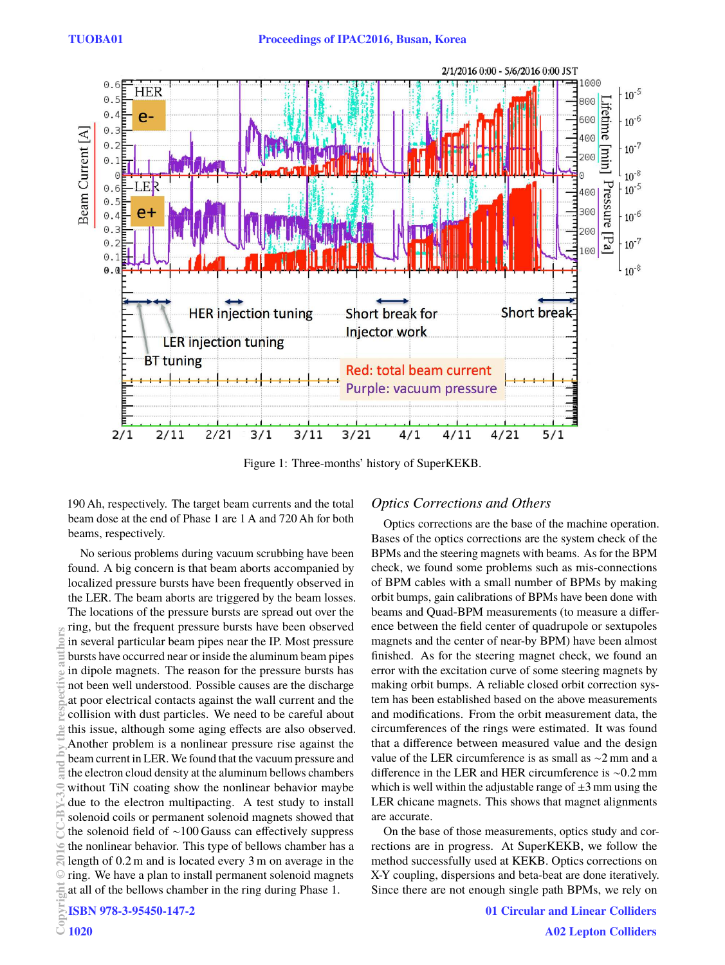

Figure 1: Three-months' history of SuperKEKB.

190 Ah, respectively. The target beam currents and the total beam dose at the end of Phase 1 are 1 A and 720 Ah for both beams, respectively.

No serious problems during vacuum scrubbing have been found. A big concern is that beam aborts accompanied by localized pressure bursts have been frequently observed in the LER. The beam aborts are triggered by the beam losses. The locations of the pressure bursts are spread out over the ring, but the frequent pressure bursts have been observed in several particular beam pipes near the IP. Most pressure bursts have occurred near or inside the aluminum beam pipes in dipole magnets. The reason for the pressure bursts has not been well understood. Possible causes are the discharge at poor electrical contacts against the wall current and the collision with dust particles. We need to be careful about this issue, although some aging effects are also observed. Another problem is a nonlinear pressure rise against the beam current in LER. We found that the vacuum pressure and the electron cloud density at the aluminum bellows chambers without TiN coating show the nonlinear behavior maybe due to the electron multipacting. A test study to install solenoid coils or permanent solenoid magnets showed that the solenoid field of ∼100 Gauss can effectively suppress the nonlinear behavior. This type of bellows chamber has a length of 0.2 m and is located every 3 m on average in the ring. We have a plan to install permanent solenoid magnets at all of the bellows chamber in the ring during Phase 1. Copyright Copyright Copyright Copyright Copyright Copyright Copyright Copyright Copyright Copyright Copyright Copyright Copyright Copyright Copyright Copyright Copyright Copyright Copyright Copyright Copyright Copyright C

## *Optics Corrections and Others*

Optics corrections are the base of the machine operation. Bases of the optics corrections are the system check of the BPMs and the steering magnets with beams. As for the BPM check, we found some problems such as mis-connections of BPM cables with a small number of BPMs by making orbit bumps, gain calibrations of BPMs have been done with beams and Quad-BPM measurements (to measure a difference between the field center of quadrupole or sextupoles magnets and the center of near-by BPM) have been almost finished. As for the steering magnet check, we found an error with the excitation curve of some steering magnets by making orbit bumps. A reliable closed orbit correction system has been established based on the above measurements and modifications. From the orbit measurement data, the circumferences of the rings were estimated. It was found that a difference between measured value and the design value of the LER circumference is as small as ∼2 mm and a difference in the LER and HER circumference is ∼0.2 mm which is well within the adjustable range of  $\pm 3$  mm using the LER chicane magnets. This shows that magnet alignments are accurate.

On the base of those measurements, optics study and corrections are in progress. At SuperKEKB, we follow the method successfully used at KEKB. Optics corrections on X-Y coupling, dispersions and beta-beat are done iteratively. Since there are not enough single path BPMs, we rely on